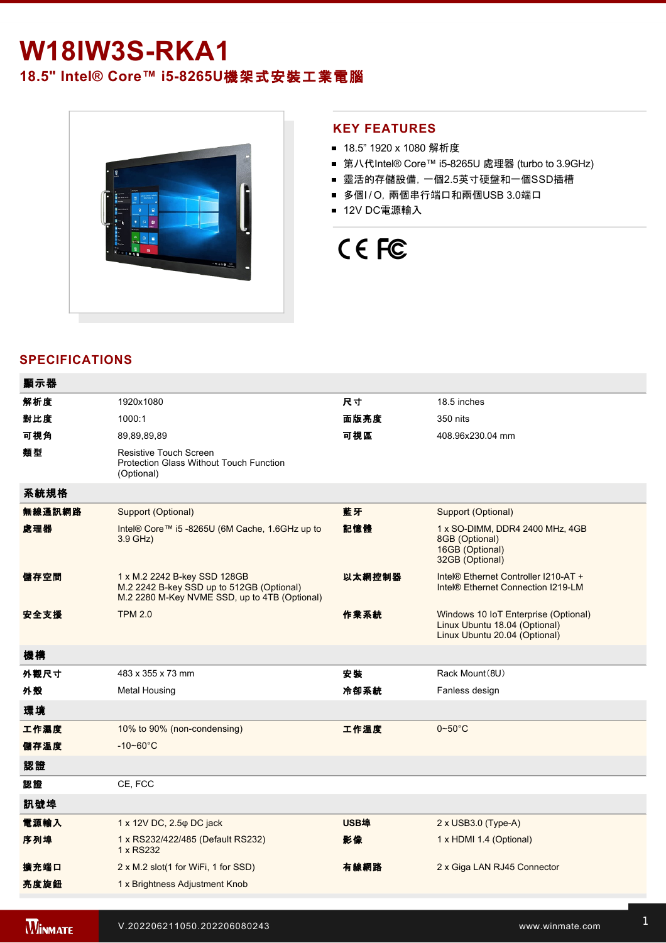## **W18IW3S-RKA1**

### **18.5" Intel® Core™ i5-8265U機架式安裝工業電腦**



#### **KEY FEATURES**

- 18.5" 1920 x 1080 解析度
- 第八代Intel® Core™ i5-8265U 處理器 (turbo to 3.9GHz)
- 靈活的存儲設備, 一個2.5英寸硬盤和一個SSD插槽
- 多個I/O, 兩個串行端口和兩個USB 3.0端口
- 12V DC電源輸入

# CE FC

#### **SPECIFICATIONS**

| 顯示器    |                                                                                                                            |             |                                                                                                        |
|--------|----------------------------------------------------------------------------------------------------------------------------|-------------|--------------------------------------------------------------------------------------------------------|
| 解析度    | 1920x1080                                                                                                                  | 尺寸          | 18.5 inches                                                                                            |
| 對比度    | 1000:1                                                                                                                     | 面版亮度        | 350 nits                                                                                               |
| 可視角    | 89,89,89,89                                                                                                                | 可視區         | 408.96x230.04 mm                                                                                       |
| 類型     | <b>Resistive Touch Screen</b><br>Protection Glass Without Touch Function<br>(Optional)                                     |             |                                                                                                        |
| 系統規格   |                                                                                                                            |             |                                                                                                        |
| 無線通訊網路 | Support (Optional)                                                                                                         | 藍牙          | Support (Optional)                                                                                     |
| 處理器    | Intel® Core™ i5 -8265U (6M Cache, 1.6GHz up to<br>$3.9$ GHz)                                                               | 記憶體         | 1 x SO-DIMM, DDR4 2400 MHz, 4GB<br>8GB (Optional)<br>16GB (Optional)<br>32GB (Optional)                |
| 儲存空間   | 1 x M.2 2242 B-key SSD 128GB<br>M.2 2242 B-key SSD up to 512GB (Optional)<br>M.2 2280 M-Key NVME SSD, up to 4TB (Optional) | 以太網控制器      | Intel® Ethernet Controller I210-AT +<br>Intel <sup>®</sup> Ethernet Connection I219-LM                 |
| 安全支援   | <b>TPM 2.0</b>                                                                                                             | 作業系統        | Windows 10 IoT Enterprise (Optional)<br>Linux Ubuntu 18.04 (Optional)<br>Linux Ubuntu 20.04 (Optional) |
| 機構     |                                                                                                                            |             |                                                                                                        |
| 外觀尺寸   | 483 x 355 x 73 mm                                                                                                          | 安装          | Rack Mount (8U)                                                                                        |
| 外殼     | <b>Metal Housing</b>                                                                                                       | 冷卻系統        | Fanless design                                                                                         |
| 環境     |                                                                                                                            |             |                                                                                                        |
| 工作濕度   | 10% to 90% (non-condensing)                                                                                                | 工作溫度        | $0\nthicksim50^{\circ}$ C                                                                              |
| 儲存溫度   | $-10 - 60^{\circ}$ C                                                                                                       |             |                                                                                                        |
| 認證     |                                                                                                                            |             |                                                                                                        |
| 認證     | CE, FCC                                                                                                                    |             |                                                                                                        |
| 訊號埠    |                                                                                                                            |             |                                                                                                        |
| 電源輸入   | 1 x 12V DC, 2.5 $\varphi$ DC jack                                                                                          | <b>USB埠</b> | 2 x USB3.0 (Type-A)                                                                                    |
| 序列埠    | 1 x RS232/422/485 (Default RS232)<br>1 x RS232                                                                             | 影像          | 1 x HDMI 1.4 (Optional)                                                                                |
| 擴充端口   | 2 x M.2 slot(1 for WiFi, 1 for SSD)                                                                                        | 有線網路        | 2 x Giga LAN RJ45 Connector                                                                            |
| 亮度旋鈕   | 1 x Brightness Adjustment Knob                                                                                             |             |                                                                                                        |
|        |                                                                                                                            |             |                                                                                                        |